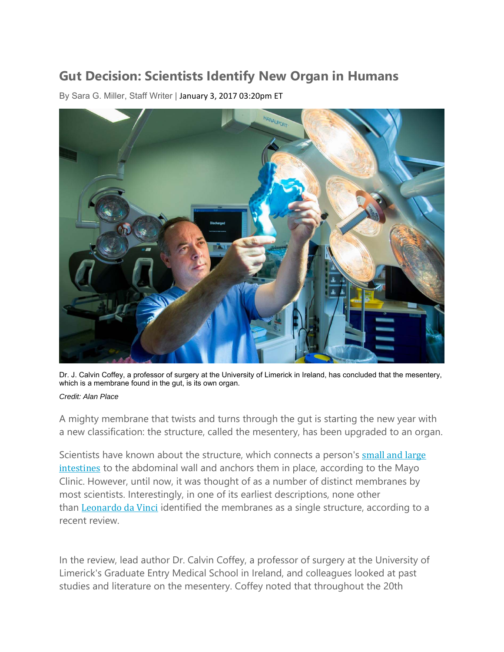## **Gut Decision: Scientists Identify New Organ in Humans**

By Sara G. Miller, Staff Writer | January 3, 2017 03:20pm ET



Dr. J. Calvin Coffey, a professor of surgery at the University of Limerick in Ireland, has concluded that the mesentery, which is a membrane found in the gut, is its own organ.

## *Credit: Alan Place*

A mighty membrane that twists and turns through the gut is starting the new year with a new classification: the structure, called the mesentery, has been upgraded to an organ.

Scientists have known about the structure, which connects a person's small and large intestines to the abdominal wall and anchors them in place, according to the Mayo Clinic. However, until now, it was thought of as a number of distinct membranes by most scientists. Interestingly, in one of its earliest descriptions, none other than Leonardo da Vinci identified the membranes as a single structure, according to a recent review.

In the review, lead author Dr. Calvin Coffey, a professor of surgery at the University of Limerick's Graduate Entry Medical School in Ireland, and colleagues looked at past studies and literature on the mesentery. Coffey noted that throughout the 20th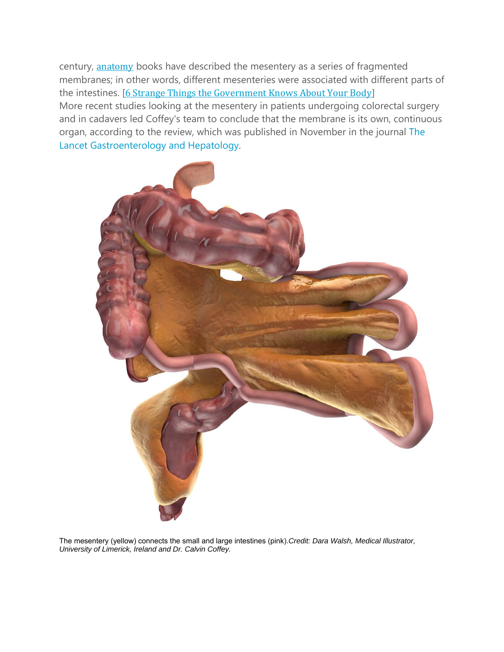century, anatomy books have described the mesentery as a series of fragmented membranes; in other words, different mesenteries were associated with different parts of the intestines. [6 Strange Things the Government Knows About Your Body] More recent studies looking at the mesentery in patients undergoing colorectal surgery and in cadavers led Coffey's team to conclude that the membrane is its own, continuous organ, according to the review, which was published in November in the journal The Lancet Gastroenterology and Hepatology.



The mesentery (yellow) connects the small and large intestines (pink).*Credit: Dara Walsh, Medical Illustrator, University of Limerick, Ireland and Dr. Calvin Coffey.*